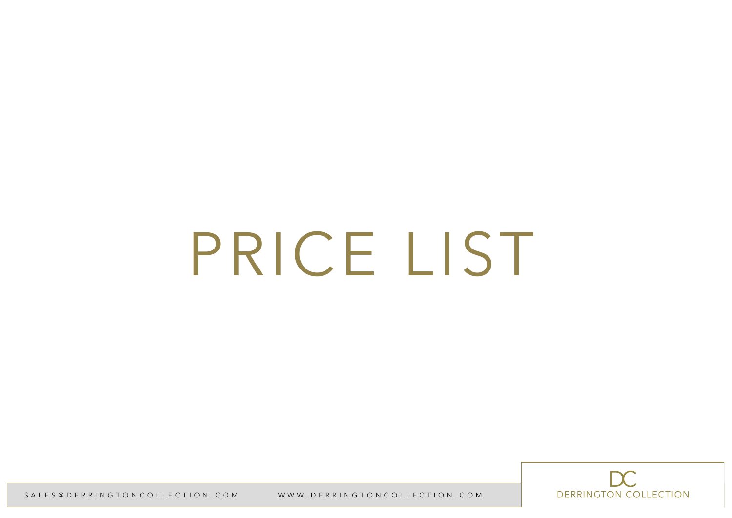# PRICE LIST

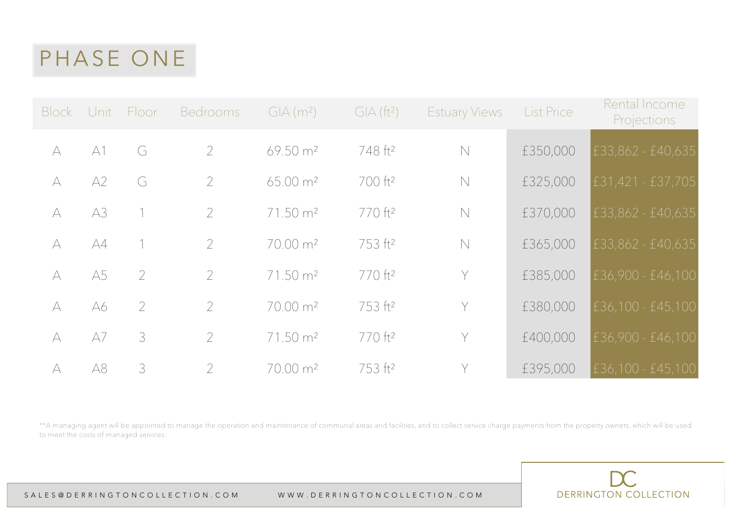|           |    | Block Unit Floor | <b>Bedrooms</b>          | $GIA(m^2)$           | GIA (ft <sup>2</sup> ) | <b>Estuary Views</b> | <b>List Price</b> | Rental Income<br><b>Projections</b> |
|-----------|----|------------------|--------------------------|----------------------|------------------------|----------------------|-------------------|-------------------------------------|
| $\forall$ | A1 | G                | $\overline{2}$           | $69.50 \text{ m}^2$  | 748 ft <sup>2</sup>    | $\mathbb N$          | £350,000          | £33,862 - £40,635                   |
| $\forall$ | A2 | G                | $\overline{\phantom{a}}$ | $65.00 \text{ m}^2$  | 700 ft <sup>2</sup>    | $\mathbb N$          | £325,000          | £31,421 - £37,705                   |
| $\forall$ | A3 |                  | $\overline{2}$           | 71.50 m <sup>2</sup> | 770 ft <sup>2</sup>    | $\mathbb N$          | £370,000          | £33,862 - £40,635                   |
| $\forall$ | A4 |                  | $\overline{2}$           | 70.00 m <sup>2</sup> | 753 ft <sup>2</sup>    | $\mathbb N$          | £365,000          | £33,862 - £40,635                   |
| $\forall$ | A5 | $\mathcal{P}$    | $\overline{2}$           | 71.50 m <sup>2</sup> | 770 ft <sup>2</sup>    | Y                    | £385,000          | £36,900 - £46,100                   |
| $\forall$ | A6 | $\overline{2}$   | $\overline{2}$           | 70.00 m <sup>2</sup> | 753 ft <sup>2</sup>    | Y                    | £380,000          | £36,100 - £45,100                   |
| $\forall$ | A7 | 3                | $\overline{2}$           | 71.50 m <sup>2</sup> | 770 ft <sup>2</sup>    | Y                    | £400,000          | £36,900 - £46,100                   |
| $\forall$ | A8 | 3                | $\overline{2}$           | $70.00 \text{ m}^2$  | 753 ft <sup>2</sup>    | Y                    | £395,000          | £36,100 - £45,100                   |

\*\*A managing agent will be appointed to manage the operation and maintenance of communal areas and facilities, and to collect service charge payments from the property owners, which will be used to meet the costs of managed services.

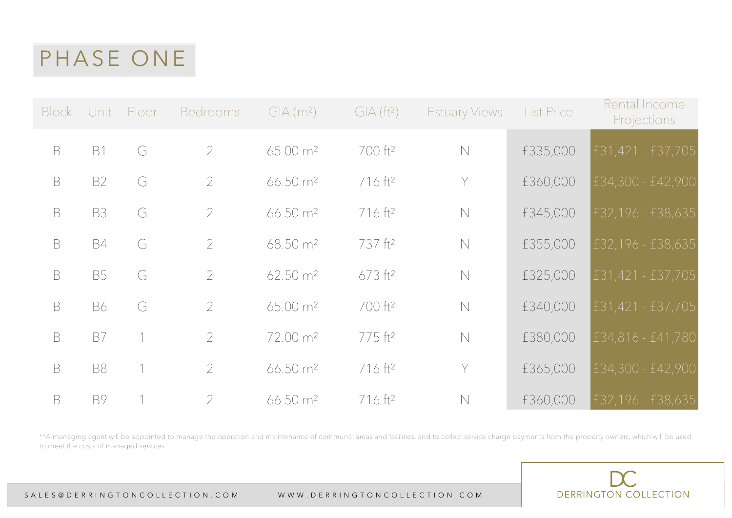|             |           | Block Unit Floor | <b>Bedrooms</b> | $GIA(m^2)$            | GIA (ft <sup>2</sup> ) | <b>Estuary Views</b> | <b>List Price</b> | Rental Income<br><b>Projections</b> |
|-------------|-----------|------------------|-----------------|-----------------------|------------------------|----------------------|-------------------|-------------------------------------|
| $\mathsf B$ | <b>B1</b> | G                | $\overline{2}$  | $65.00 \text{ m}^2$   | 700 ft <sup>2</sup>    | $\mathbb N$          | £335,000          | £31,421 - £37,705                   |
| $\mathsf B$ | <b>B2</b> | G                | $\overline{2}$  | 66.50 m <sup>2</sup>  | 716 ft <sup>2</sup>    | Y                    | £360,000          | £34,300 - £42,900                   |
| B           | <b>B3</b> | G                | $\overline{2}$  | 66.50 m <sup>2</sup>  | 716 ft <sup>2</sup>    | $\mathbb N$          | £345,000          | £32,196 - £38,635                   |
| $\mathsf B$ | <b>B4</b> | G                | $\mathcal{P}$   | 68.50 m <sup>2</sup>  | 737 ft <sup>2</sup>    | $\mathbb N$          | £355,000          | £32, 196 - £38, 635                 |
| $\mathsf B$ | <b>B5</b> | G                | $\overline{2}$  | $62.50 \text{ m}^2$   | $673$ ft <sup>2</sup>  | $\mathbb N$          | £325,000          | £31,421 - £37,705                   |
| $\mathsf B$ | <b>B6</b> | G                | $\mathcal{P}$   | 65.00 m <sup>2</sup>  | 700 ft <sup>2</sup>    | $\mathbb N$          | £340,000          | £31,421 - £37,705                   |
| $\mathsf B$ | B7        |                  | $\overline{2}$  | 72.00 m <sup>2</sup>  | 775 ft <sup>2</sup>    | $\mathbb N$          | £380,000          | £34,816 - £41,780                   |
| $\mathsf B$ | <b>B8</b> |                  | $\overline{2}$  | 66.50 m <sup>2</sup>  | 716 ft <sup>2</sup>    | Y                    | £365,000          | £34,300 - £42,900                   |
| $\mathsf B$ | <b>B9</b> |                  | $\overline{2}$  | $66.50 \, \text{m}^2$ | $716$ ft <sup>2</sup>  | $\mathbb N$          | £360,000          | £32,196 - £38,635                   |

\*\*A managing agent will be appointed to manage the operation and maintenance of communal areas and facilities, and to collect service charge payments from the property owners, which will be used to meet the costs of managed services.

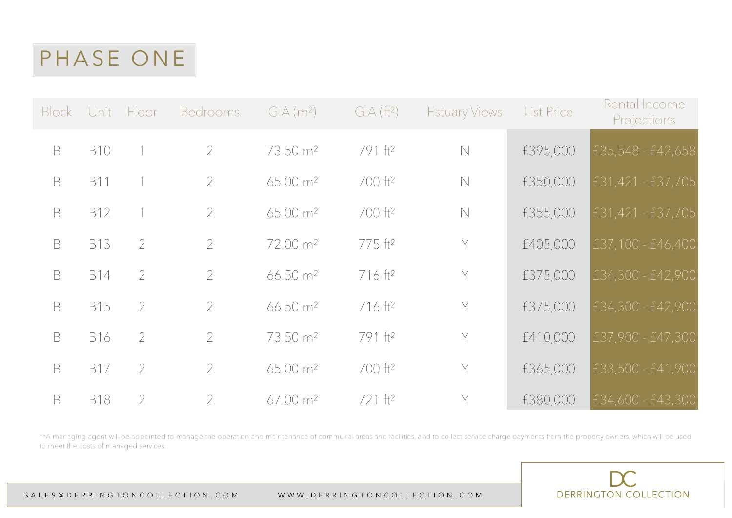| Block Unit  |            | Floor          | <b>Bedrooms</b> | $GIA(m^2)$           | GIA (ft <sup>2</sup> ) | <b>Estuary Views</b> | <b>List Price</b> | Rental Income<br><b>Projections</b> |
|-------------|------------|----------------|-----------------|----------------------|------------------------|----------------------|-------------------|-------------------------------------|
| $\mathsf B$ | <b>B10</b> |                | $\overline{2}$  | 73.50 m <sup>2</sup> | 791 ft <sup>2</sup>    | $\mathbb N$          | £395,000          | £35,548 - £42,658                   |
| $\mathsf B$ | <b>B11</b> |                | $\overline{2}$  | 65.00 m <sup>2</sup> | 700 ft <sup>2</sup>    | $\mathbb N$          | £350,000          | £31,421 - £37,705                   |
| $\mathsf B$ | <b>B12</b> |                | $\overline{2}$  | $65.00 \text{ m}^2$  | 700 ft <sup>2</sup>    | $\mathbb N$          | £355,000          | $E31,421 - E37,705$                 |
| $\mathsf B$ | <b>B13</b> | $\mathcal{P}$  | $\overline{2}$  | 72.00 m <sup>2</sup> | 775 ft <sup>2</sup>    | Y                    | £405,000          | £37,100 - £46,400                   |
| $\mathsf B$ | <b>B14</b> | $\mathcal{P}$  | $\overline{2}$  | 66.50 m <sup>2</sup> | $716$ ft <sup>2</sup>  | Y                    | £375,000          | £34,300 - £42,900                   |
| $\mathsf B$ | <b>B15</b> | $\overline{2}$ | $\overline{2}$  | $66.50 \text{ m}^2$  | 716 ft <sup>2</sup>    | Y                    | £375,000          | £34,300 - £42,900                   |
| $\mathsf B$ | <b>B16</b> | $\overline{2}$ | $\overline{2}$  | 73.50 m <sup>2</sup> | 791 ft <sup>2</sup>    | Y                    | £410,000          | £37,900 - £47,300                   |
| B           | <b>B17</b> | $\overline{2}$ | $\overline{2}$  | $65.00 \text{ m}^2$  | 700 ft <sup>2</sup>    | Y                    | £365,000          | £33,500 - £41,900                   |
| B           | <b>B18</b> | $\overline{2}$ | 2               | $67.00 \text{ m}^2$  | 721 ft <sup>2</sup>    | Y                    | £380,000          | £34,600 - £43,300                   |

\*\*A managing agent will be appointed to manage the operation and maintenance of communal areas and facilities, and to collect service charge payments from the property owners, which will be used to meet the costs of managed services.